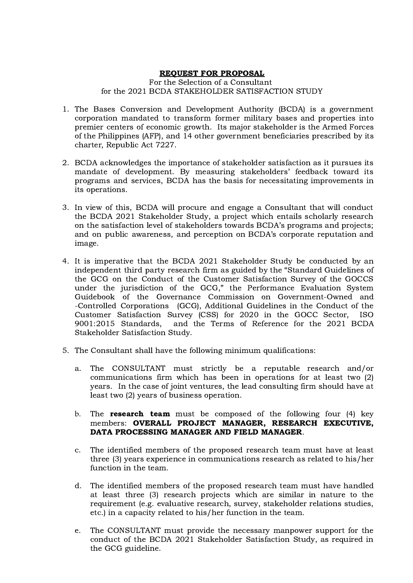#### REQUEST FOR PROPOSAL

For the Selection of a Consultant for the 2021 BCDA STAKEHOLDER SATISFACTION STUDY

- 1. The Bases Conversion and Development Authority (BCDA) is a government corporation mandated to transform former military bases and properties into premier centers of economic growth. Its major stakeholder is the Armed Forces of the Philippines (AFP), and 14 other government beneficiaries prescribed by its charter, Republic Act 7227.
- 2. BCDA acknowledges the importance of stakeholder satisfaction as it pursues its mandate of development. By measuring stakeholders' feedback toward its programs and services, BCDA has the basis for necessitating improvements in its operations.
- 3. In view of this, BCDA will procure and engage a Consultant that will conduct the BCDA 2021 Stakeholder Study, a project which entails scholarly research on the satisfaction level of stakeholders towards BCDA's programs and projects; and on public awareness, and perception on BCDA's corporate reputation and image.
- 4. It is imperative that the BCDA 2021 Stakeholder Study be conducted by an independent third party research firm as guided by the "Standard Guidelines of the GCG on the Conduct of the Customer Satisfaction Survey of the GOCCS under the jurisdiction of the GCG," the Performance Evaluation System Guidebook of the Governance Commission on Government-Owned and -Controlled Corporations (GCG), Additional Guidelines in the Conduct of the Customer Satisfaction Survey (CSS) for 2020 in the GOCC Sector, ISO 9001:2015 Standards, and the Terms of Reference for the 2021 BCDA Stakeholder Satisfaction Study.
- 5. The Consultant shall have the following minimum qualifications:
	- a. The CONSULTANT must strictly be a reputable research and/or communications firm which has been in operations for at least two (2) years. In the case of joint ventures, the lead consulting firm should have at least two (2) years of business operation.
	- b. The **research team** must be composed of the following four  $(4)$  key members: OVERALL PROJECT MANAGER, RESEARCH EXECUTIVE, DATA PROCESSING MANAGER AND FIELD MANAGER.
	- c. The identified members of the proposed research team must have at least three (3) years experience in communications research as related to his/her function in the team.
	- d. The identified members of the proposed research team must have handled at least three (3) research projects which are similar in nature to the requirement (e.g. evaluative research, survey, stakeholder relations studies, etc.) in a capacity related to his/her function in the team.
	- e. The CONSULTANT must provide the necessary manpower support for the conduct of the BCDA 2021 Stakeholder Satisfaction Study, as required in the GCG guideline.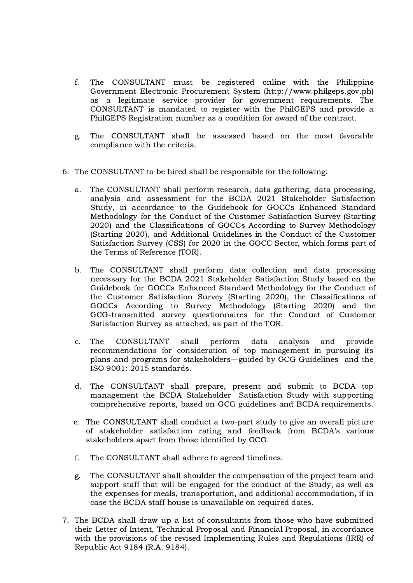- f. The CONSULTANT must be registered online with the Philippine Government Electronic Procurement System (http://www.philgeps.gov.ph) as a legitimate service provider for government requirements. The CONSULTANT is mandated to register with the PhilGEPS and provide a PhilGEPS Registration number as a condition for award of the contract.
- g. The CONSULTANT shall be assessed based on the most favorable compliance with the criteria.
- 6. The CONSULTANT to be hired shall be responsible for the following:
	- a. The CONSULTANT shall perform research, data gathering, data processing, analysis and assessment for the BCDA 2021 Stakeholder Satisfaction Study, in accordance to the Guidebook for GOCCs Enhanced Standard Methodology for the Conduct of the Customer Satisfaction Survey (Starting 2020) and the Classifications of GOCCs According to Survey Methodology (Starting 2020), and Additional Guidelines in the Conduct of the Customer Satisfaction Survey (CSS) for 2020 in the GOCC Sector, which forms part of the Terms of Reference (TOR).
	- b. The CONSULTANT shall perform data collection and data processing necessary for the BCDA 2021 Stakeholder Satisfaction Study based on the Guidebook for GOCCs Enhanced Standard Methodology for the Conduct of the Customer Satisfaction Survey (Starting 2020), the Classifications of GOCCs According to Survey Methodology (Starting 2020) and the GCG-transmitted survey questionnaires for the Conduct of Customer Satisfaction Survey as attached, as part of the TOR.
	- c. The CONSULTANT shall perform data analysis and provide recommendations for consideration of top management in pursuing its plans and programs for stakeholders—guided by GCG Guidelines and the ISO 9001: 2015 standards.
	- d. The CONSULTANT shall prepare, present and submit to BCDA top management the BCDA Stakeholder Satisfaction Study with supporting comprehensive reports, based on GCG guidelines and BCDA requirements.
	- e. The CONSULTANT shall conduct a two-part study to give an overall picture of stakeholder satisfaction rating and feedback from BCDA's various stakeholders apart from those identified by GCG.
	- f. The CONSULTANT shall adhere to agreed timelines.
	- g. The CONSULTANT shall shoulder the compensation of the project team and support staff that will be engaged for the conduct of the Study, as well as the expenses for meals, transportation, and additional accommodation, if in case the BCDA staff house is unavailable on required dates.
- 7. The BCDA shall draw up a list of consultants from those who have submitted their Letter of Intent, Technical Proposal and Financial Proposal, in accordance with the provisions of the revised Implementing Rules and Regulations (IRR) of Republic Act 9184 (R.A. 9184).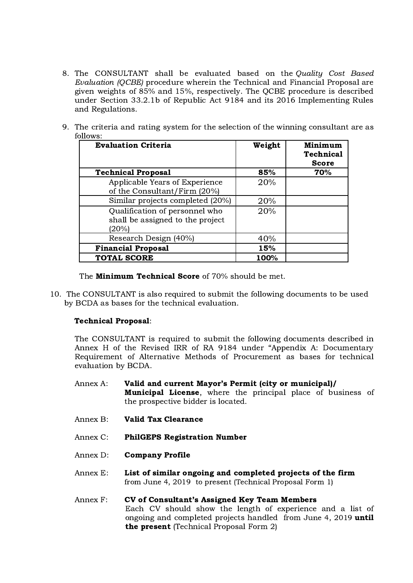- 8. The CONSULTANT shall be evaluated based on the Quality Cost Based Evaluation (QCBE) procedure wherein the Technical and Financial Proposal are given weights of 85% and 15%, respectively. The QCBE procedure is described under Section 33.2.1b of Republic Act 9184 and its 2016 Implementing Rules and Regulations.
- 9. The criteria and rating system for the selection of the winning consultant are as follows:

| <b>Evaluation Criteria</b>                                                  | Weight | Minimum<br><b>Technical</b><br><b>Score</b> |
|-----------------------------------------------------------------------------|--------|---------------------------------------------|
| <b>Technical Proposal</b>                                                   | 85%    | 70%                                         |
| Applicable Years of Experience<br>of the Consultant/Firm (20%)              | 20%    |                                             |
| Similar projects completed (20%)                                            | 20%    |                                             |
| Qualification of personnel who<br>shall be assigned to the project<br>(20%) | 20%    |                                             |
| Research Design (40%)                                                       | 40%    |                                             |
| <b>Financial Proposal</b>                                                   | 15%    |                                             |
| <b>TOTAL SCORE</b>                                                          | 100%   |                                             |

The **Minimum Technical Score** of 70% should be met.

10. The CONSULTANT is also required to submit the following documents to be used by BCDA as bases for the technical evaluation.

### Technical Proposal:

The CONSULTANT is required to submit the following documents described in Annex H of the Revised IRR of RA 9184 under "Appendix A: Documentary Requirement of Alternative Methods of Procurement as bases for technical evaluation by BCDA.

- Annex A: Valid and current Mayor's Permit (city or municipal)/ Municipal License, where the principal place of business of the prospective bidder is located.
- Annex B: Valid Tax Clearance
- Annex C: PhilGEPS Registration Number
- Annex D: Company Profile
- Annex E: List of similar ongoing and completed projects of the firm from June 4, 2019 to present (Technical Proposal Form 1)
- Annex F: CV of Consultant's Assigned Key Team Members Each CV should show the length of experience and a list of ongoing and completed projects handled from June 4, 2019 until the present (Technical Proposal Form 2)